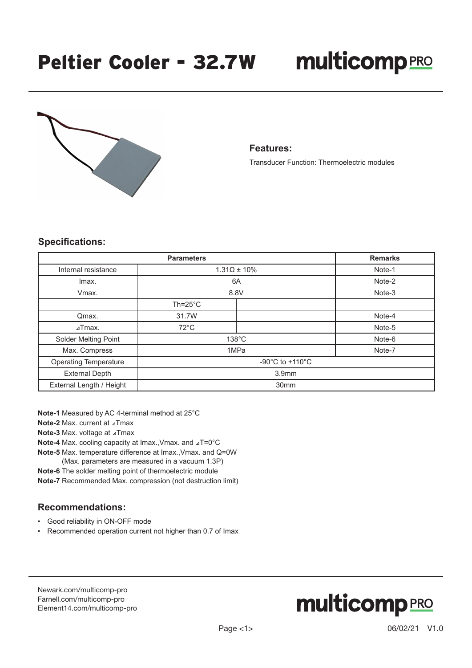

#### **Features:**

Transducer Function: Thermoelectric modules

### **Specifications:**

| <b>Parameters</b>            |                                       |  | <b>Remarks</b> |
|------------------------------|---------------------------------------|--|----------------|
| Internal resistance          | $1.31\Omega \pm 10\%$                 |  | Note-1         |
| Imax.                        | 6A                                    |  | Note-2         |
| Vmax.                        | 8.8V                                  |  | Note-3         |
|                              | $Th = 25^{\circ}C$                    |  |                |
| Qmax.                        | 31.7W                                 |  | Note-4         |
| $\lambda$ Tmax.              | $72^{\circ}$ C                        |  | Note-5         |
| Solder Melting Point         | $138^{\circ}$ C<br>Note-6             |  |                |
| Max. Compress                | 1MPa<br>Note-7                        |  |                |
| <b>Operating Temperature</b> | -90 $^{\circ}$ C to +110 $^{\circ}$ C |  |                |
| <b>External Depth</b>        | 3.9 <sub>mm</sub>                     |  |                |
| External Length / Height     | 30 <sub>mm</sub>                      |  |                |

**Note-1** Measured by AC 4-terminal method at 25°C

**Note-2** Max. current at ⊿Tmax

**Note-3** Max. voltage at ⊿Tmax

**Note-4** Max. cooling capacity at Imax.,Vmax. and ⊿T=0°C

**Note-5** Max. temperature difference at Imax.,Vmax. and Q=0W

(Max. parameters are measured in a vacuum 1.3P)

**Note-6** The solder melting point of thermoelectric module **Note-7** Recommended Max. compression (not destruction limit)

### **Recommendations:**

• Good reliability in ON-OFF mode

• Recommended operation current not higher than 0.7 of Imax

[Newark.com/multicomp-](https://www.newark.com/multicomp-pro)pro [Farnell.com/multicomp](https://www.farnell.com/multicomp-pro)-pro [Element14.com/multicomp-pro](https://element14.com/multicomp-pro)

# **multicomp**PRO